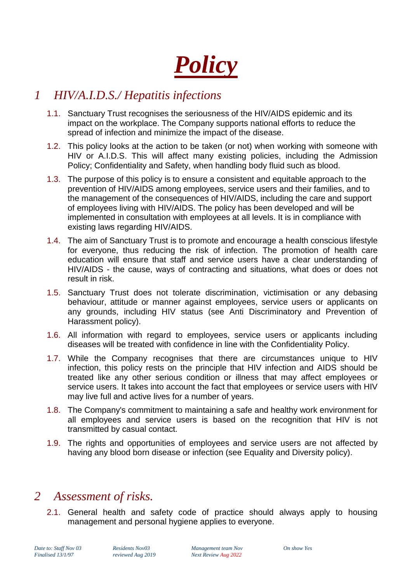*Policy*

## *1 HIV/A.I.D.S./ Hepatitis infections*

- 1.1. Sanctuary Trust recognises the seriousness of the HIV/AIDS epidemic and its impact on the workplace. The Company supports national efforts to reduce the spread of infection and minimize the impact of the disease.
- 1.2. This policy looks at the action to be taken (or not) when working with someone with HIV or A.I.D.S. This will affect many existing policies, including the Admission Policy; Confidentiality and Safety, when handling body fluid such as blood.
- 1.3. The purpose of this policy is to ensure a consistent and equitable approach to the prevention of HIV/AIDS among employees, service users and their families, and to the management of the consequences of HIV/AIDS, including the care and support of employees living with HIV/AIDS. The policy has been developed and will be implemented in consultation with employees at all levels. It is in compliance with existing laws regarding HIV/AIDS.
- 1.4. The aim of Sanctuary Trust is to promote and encourage a health conscious lifestyle for everyone, thus reducing the risk of infection. The promotion of health care education will ensure that staff and service users have a clear understanding of HIV/AIDS - the cause, ways of contracting and situations, what does or does not result in risk.
- 1.5. Sanctuary Trust does not tolerate discrimination, victimisation or any debasing behaviour, attitude or manner against employees, service users or applicants on any grounds, including HIV status (see Anti Discriminatory and Prevention of Harassment policy).
- 1.6. All information with regard to employees, service users or applicants including diseases will be treated with confidence in line with the Confidentiality Policy.
- 1.7. While the Company recognises that there are circumstances unique to HIV infection, this policy rests on the principle that HIV infection and AIDS should be treated like any other serious condition or illness that may affect employees or service users. It takes into account the fact that employees or service users with HIV may live full and active lives for a number of years.
- 1.8. The Company's commitment to maintaining a safe and healthy work environment for all employees and service users is based on the recognition that HIV is not transmitted by casual contact.
- 1.9. The rights and opportunities of employees and service users are not affected by having any blood born disease or infection (see Equality and Diversity policy).

## *2 Assessment of risks.*

2.1. General health and safety code of practice should always apply to housing management and personal hygiene applies to everyone.